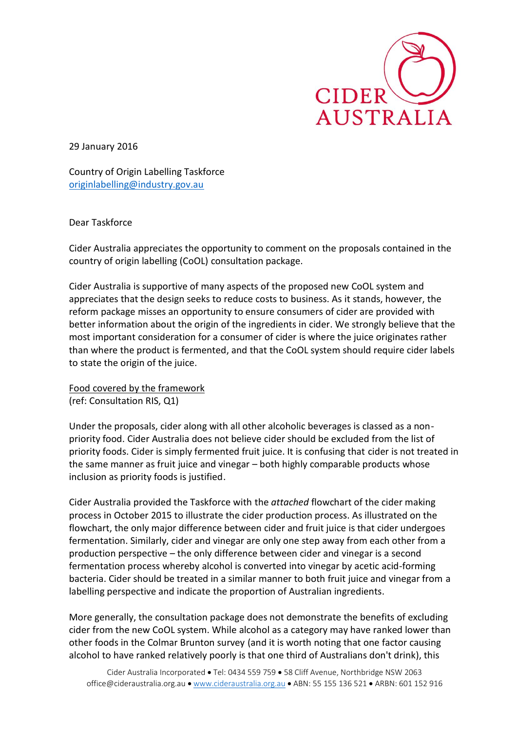

29 January 2016

Country of Origin Labelling Taskforce [originlabelling@industry.gov.au](mailto:originlabelling@industry.gov.au)

Dear Taskforce

Cider Australia appreciates the opportunity to comment on the proposals contained in the country of origin labelling (CoOL) consultation package.

Cider Australia is supportive of many aspects of the proposed new CoOL system and appreciates that the design seeks to reduce costs to business. As it stands, however, the reform package misses an opportunity to ensure consumers of cider are provided with better information about the origin of the ingredients in cider. We strongly believe that the most important consideration for a consumer of cider is where the juice originates rather than where the product is fermented, and that the CoOL system should require cider labels to state the origin of the juice.

Food covered by the framework

(ref: Consultation RIS, Q1)

Under the proposals, cider along with all other alcoholic beverages is classed as a nonpriority food. Cider Australia does not believe cider should be excluded from the list of priority foods. Cider is simply fermented fruit juice. It is confusing that cider is not treated in the same manner as fruit juice and vinegar – both highly comparable products whose inclusion as priority foods is justified.

Cider Australia provided the Taskforce with the *attached* flowchart of the cider making process in October 2015 to illustrate the cider production process. As illustrated on the flowchart, the only major difference between cider and fruit juice is that cider undergoes fermentation. Similarly, cider and vinegar are only one step away from each other from a production perspective – the only difference between cider and vinegar is a second fermentation process whereby alcohol is converted into vinegar by acetic acid-forming bacteria. Cider should be treated in a similar manner to both fruit juice and vinegar from a labelling perspective and indicate the proportion of Australian ingredients.

More generally, the consultation package does not demonstrate the benefits of excluding cider from the new CoOL system. While alcohol as a category may have ranked lower than other foods in the Colmar Brunton survey (and it is worth noting that one factor causing alcohol to have ranked relatively poorly is that one third of Australians don't drink), this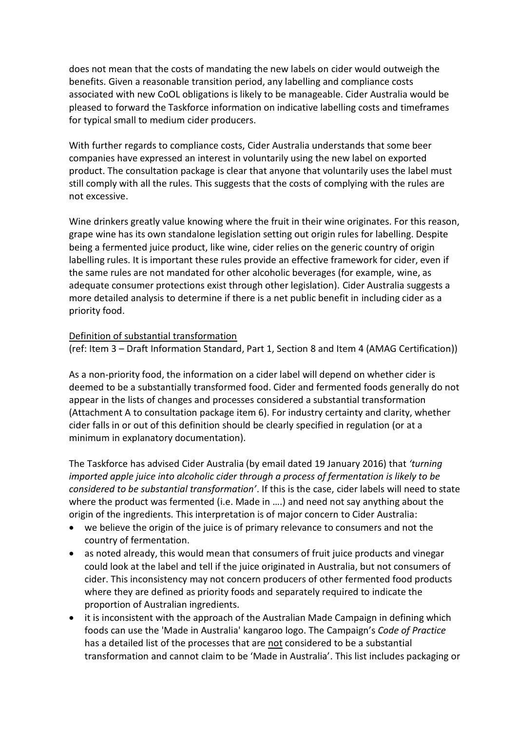does not mean that the costs of mandating the new labels on cider would outweigh the benefits. Given a reasonable transition period, any labelling and compliance costs associated with new CoOL obligations is likely to be manageable. Cider Australia would be pleased to forward the Taskforce information on indicative labelling costs and timeframes for typical small to medium cider producers.

With further regards to compliance costs, Cider Australia understands that some beer companies have expressed an interest in voluntarily using the new label on exported product. The consultation package is clear that anyone that voluntarily uses the label must still comply with all the rules. This suggests that the costs of complying with the rules are not excessive.

Wine drinkers greatly value knowing where the fruit in their wine originates. For this reason, grape wine has its own standalone legislation setting out origin rules for labelling. Despite being a fermented juice product, like wine, cider relies on the generic country of origin labelling rules. It is important these rules provide an effective framework for cider, even if the same rules are not mandated for other alcoholic beverages (for example, wine, as adequate consumer protections exist through other legislation). Cider Australia suggests a more detailed analysis to determine if there is a net public benefit in including cider as a priority food.

## Definition of substantial transformation

(ref: Item 3 – Draft Information Standard, Part 1, Section 8 and Item 4 (AMAG Certification))

As a non-priority food, the information on a cider label will depend on whether cider is deemed to be a substantially transformed food. Cider and fermented foods generally do not appear in the lists of changes and processes considered a substantial transformation (Attachment A to consultation package item 6). For industry certainty and clarity, whether cider falls in or out of this definition should be clearly specified in regulation (or at a minimum in explanatory documentation).

The Taskforce has advised Cider Australia (by email dated 19 January 2016) that *'turning imported apple juice into alcoholic cider through a process of fermentation is likely to be considered to be substantial transformation'*. If this is the case, cider labels will need to state where the product was fermented (i.e. Made in ….) and need not say anything about the origin of the ingredients. This interpretation is of major concern to Cider Australia:

- we believe the origin of the juice is of primary relevance to consumers and not the country of fermentation.
- as noted already, this would mean that consumers of fruit juice products and vinegar could look at the label and tell if the juice originated in Australia, but not consumers of cider. This inconsistency may not concern producers of other fermented food products where they are defined as priority foods and separately required to indicate the proportion of Australian ingredients.
- it is inconsistent with the approach of the Australian Made Campaign in defining which foods can use the 'Made in Australia' kangaroo logo. The Campaign's *Code of Practice* has a detailed list of the processes that are not considered to be a substantial transformation and cannot claim to be 'Made in Australia'. This list includes packaging or